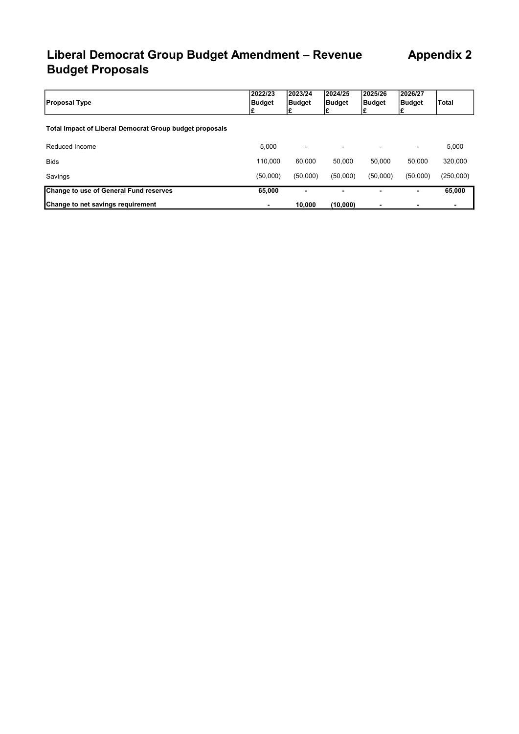# Liberal Democrat Group Budget Amendment - Revenue Appendix 2 Budget Proposals

| <b>Proposal Type</b>                                    | 2022/23<br>Budget | 2023/24<br><b>Budget</b> | 2024/25<br><b>Budget</b> | 2025/26<br>Budget | 2026/27<br>Budget | <b>Total</b>   |
|---------------------------------------------------------|-------------------|--------------------------|--------------------------|-------------------|-------------------|----------------|
| Total Impact of Liberal Democrat Group budget proposals |                   |                          |                          |                   |                   |                |
| Reduced Income                                          | 5,000             | $\blacksquare$           |                          | $\blacksquare$    |                   | 5,000          |
| <b>Bids</b>                                             | 110.000           | 60.000                   | 50.000                   | 50.000            | 50.000            | 320,000        |
| Savings                                                 | (50,000)          | (50,000)                 | (50,000)                 | (50,000)          | (50,000)          | (250,000)      |
| Change to use of General Fund reserves                  | 65,000            | $\blacksquare$           |                          | $\blacksquare$    | -                 | 65,000         |
| Change to net savings requirement                       |                   | 10,000                   | (10,000)                 | $\blacksquare$    |                   | $\blacksquare$ |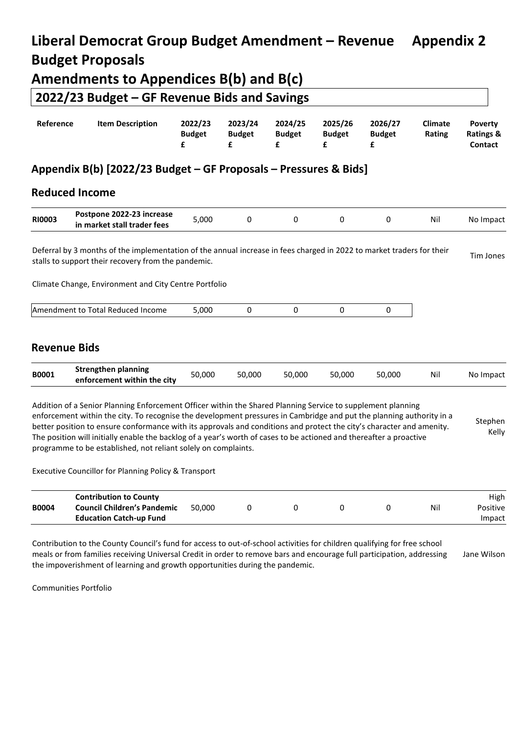# **Liberal Democrat Group Budget Amendment – Revenue Appendix 2 Budget Proposals Amendments to Appendices B(b) and B(c) 2022/23 Budget – GF Revenue Bids and Savings**

| Reference | <b>Item Description</b> | 2022/23       | 2023/24                                        | 2024/25       | 2025/26       | 2026/27       | <b>Climate</b> | <b>Poverty</b>       |
|-----------|-------------------------|---------------|------------------------------------------------|---------------|---------------|---------------|----------------|----------------------|
|           |                         | <b>Budget</b> | <b>Budget</b>                                  | <b>Budget</b> | <b>Budget</b> | <b>Budget</b> | Rating         | <b>Ratings &amp;</b> |
|           |                         |               | $\mathbf{f}$ and $\mathbf{f}$ and $\mathbf{f}$ | f             |               |               |                | <b>Contact</b>       |

# **Appendix B(b) [2022/23 Budget – GF Proposals – Pressures & Bids]**

## **Reduced Income**

| <b>RI0003</b> | Postpone 2022-23 increase        | 000,ز |  |  | Ni |                  |
|---------------|----------------------------------|-------|--|--|----|------------------|
|               | n market stall trader fees<br>ın |       |  |  |    | Impact<br>-NO li |

Deferral by 3 months of the implementation of the annual increase in fees charged in 2022 to market traders for their Deferral by 3 months of the implementation of the annual increase in fees charged in 2022 to market traders for their<br>stalls to support their recovery from the pandemic.

Climate Change, Environment and City Centre Portfolio

|  | Amendment to Total Reduced Income | 000 |  |  |  |  |
|--|-----------------------------------|-----|--|--|--|--|
|--|-----------------------------------|-----|--|--|--|--|

### **Revenue Bids**

| B0001 | <b>Strengthen planning</b><br>enforcement within the city | 50.000 | 50.000 | 50.000 | 50.000 | 50.000 | Nil | No Impact |
|-------|-----------------------------------------------------------|--------|--------|--------|--------|--------|-----|-----------|
|-------|-----------------------------------------------------------|--------|--------|--------|--------|--------|-----|-----------|

Addition of a Senior Planning Enforcement Officer within the Shared Planning Service to supplement planning enforcement within the city. To recognise the development pressures in Cambridge and put the planning authority in a better position to ensure conformance with its approvals and conditions and protect the city's character and amenity. The position will initially enable the backlog of a year's worth of cases to be actioned and thereafter a proactive programme to be established, not reliant solely on complaints. Stephen Kelly

Executive Councillor for Planning Policy & Transport

|              | <b>Contribution to County</b>      |        |  |  |     | High     |
|--------------|------------------------------------|--------|--|--|-----|----------|
| <b>B0004</b> | <b>Council Children's Pandemic</b> | 50.000 |  |  | Nil | Positive |
|              | <b>Education Catch-up Fund</b>     |        |  |  |     | Impact   |

Contribution to the County Council's fund for access to out-of-school activities for children qualifying for free school meals or from families receiving Universal Credit in order to remove bars and encourage full participation, addressing the impoverishment of learning and growth opportunities during the pandemic. Jane Wilson

Communities Portfolio